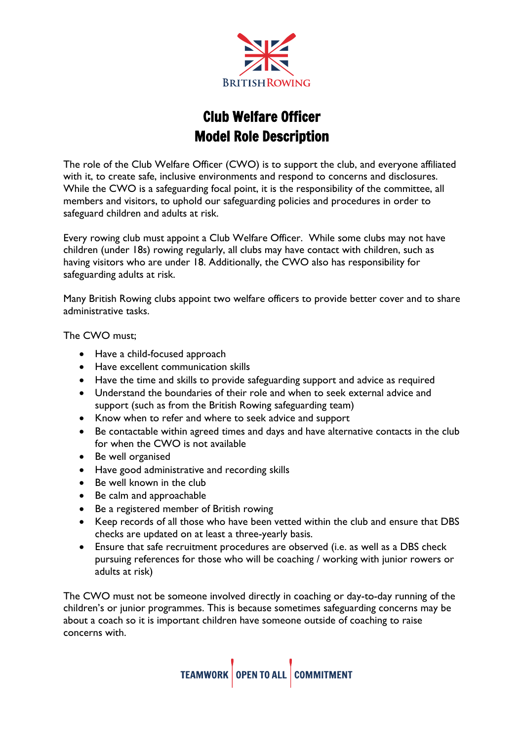

# Club Welfare Officer Model Role Description

The role of the Club Welfare Officer (CWO) is to support the club, and everyone affiliated with it, to create safe, inclusive environments and respond to concerns and disclosures. While the CWO is a safeguarding focal point, it is the responsibility of the committee, all members and visitors, to uphold our safeguarding policies and procedures in order to safeguard children and adults at risk.

Every rowing club must appoint a Club Welfare Officer. While some clubs may not have children (under 18s) rowing regularly, all clubs may have contact with children, such as having visitors who are under 18. Additionally, the CWO also has responsibility for safeguarding adults at risk.

Many British Rowing clubs appoint two welfare officers to provide better cover and to share administrative tasks.

The CWO must;

- Have a child-focused approach
- Have excellent communication skills
- Have the time and skills to provide safeguarding support and advice as required
- Understand the boundaries of their role and when to seek external advice and support (such as from the British Rowing safeguarding team)
- Know when to refer and where to seek advice and support
- Be contactable within agreed times and days and have alternative contacts in the club for when the CWO is not available
- Be well organised
- Have good administrative and recording skills
- Be well known in the club
- Be calm and approachable
- Be a registered member of British rowing
- Keep records of all those who have been vetted within the club and ensure that DBS checks are updated on at least a three-yearly basis.
- Ensure that safe recruitment procedures are observed (i.e. as well as a DBS check pursuing references for those who will be coaching / working with junior rowers or adults at risk)

The CWO must not be someone involved directly in coaching or day-to-day running of the children's or junior programmes. This is because sometimes safeguarding concerns may be about a coach so it is important children have someone outside of coaching to raise concerns with.

TEAMWORK OPEN TO ALL COMMITMENT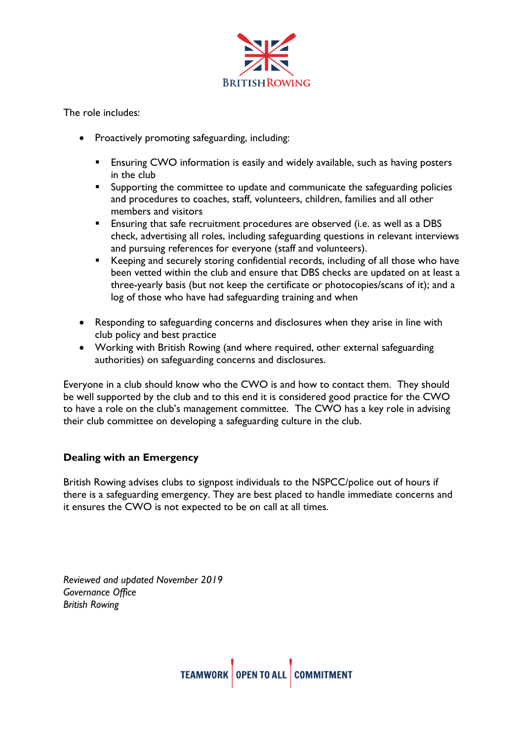

The role includes:

- Proactively promoting safeguarding, including:
	- **Ensuring CWO information is easily and widely available, such as having posters** in the club
	- **E** Supporting the committee to update and communicate the safeguarding policies and procedures to coaches, staff, volunteers, children, families and all other members and visitors
	- **Ensuring that safe recruitment procedures are observed (i.e. as well as a DBS** check, advertising all roles, including safeguarding questions in relevant interviews and pursuing references for everyone (staff and volunteers).
	- Keeping and securely storing confidential records, including of all those who have been vetted within the club and ensure that DBS checks are updated on at least a three-yearly basis (but not keep the certificate or photocopies/scans of it); and a log of those who have had safeguarding training and when
- Responding to safeguarding concerns and disclosures when they arise in line with club policy and best practice
- Working with British Rowing (and where required, other external safeguarding authorities) on safeguarding concerns and disclosures.

Everyone in a club should know who the CWO is and how to contact them. They should be well supported by the club and to this end it is considered good practice for the CWO to have a role on the club's management committee. The CWO has a key role in advising their club committee on developing a safeguarding culture in the club.

## **Dealing with an Emergency**

British Rowing advises clubs to signpost individuals to the NSPCC/police out of hours if there is a safeguarding emergency. They are best placed to handle immediate concerns and it ensures the CWO is not expected to be on call at all times.

*Reviewed and updated November 2019 Governance Office British Rowing*